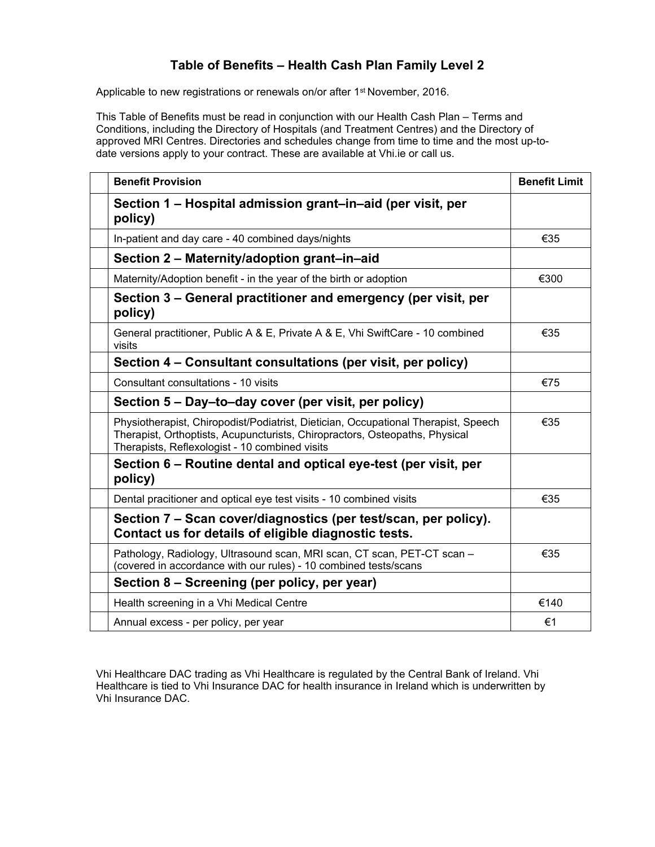## **Table of Benefits – Health Cash Plan Family Level 2**

Applicable to new registrations or renewals on/or after 1<sup>st</sup> November, 2016.

This Table of Benefits must be read in conjunction with our Health Cash Plan – Terms and Conditions, including the Directory of Hospitals (and Treatment Centres) and the Directory of approved MRI Centres. Directories and schedules change from time to time and the most up-todate versions apply to your contract. These are available at Vhi.ie or call us.

| <b>Benefit Provision</b>                                                                                                                                                                                            | <b>Benefit Limit</b> |
|---------------------------------------------------------------------------------------------------------------------------------------------------------------------------------------------------------------------|----------------------|
| Section 1 – Hospital admission grant–in–aid (per visit, per<br>policy)                                                                                                                                              |                      |
| In-patient and day care - 40 combined days/nights                                                                                                                                                                   | €35                  |
| Section 2 - Maternity/adoption grant-in-aid                                                                                                                                                                         |                      |
| Maternity/Adoption benefit - in the year of the birth or adoption                                                                                                                                                   | €300                 |
| Section 3 – General practitioner and emergency (per visit, per<br>policy)                                                                                                                                           |                      |
| General practitioner, Public A & E, Private A & E, Vhi SwiftCare - 10 combined<br>visits                                                                                                                            | €35                  |
| Section 4 - Consultant consultations (per visit, per policy)                                                                                                                                                        |                      |
| Consultant consultations - 10 visits                                                                                                                                                                                | €75                  |
| Section 5 – Day–to–day cover (per visit, per policy)                                                                                                                                                                |                      |
| Physiotherapist, Chiropodist/Podiatrist, Dietician, Occupational Therapist, Speech<br>Therapist, Orthoptists, Acupuncturists, Chiropractors, Osteopaths, Physical<br>Therapists, Reflexologist - 10 combined visits | €35                  |
| Section 6 – Routine dental and optical eye-test (per visit, per<br>policy)                                                                                                                                          |                      |
| Dental pracitioner and optical eye test visits - 10 combined visits                                                                                                                                                 | €35                  |
| Section 7 – Scan cover/diagnostics (per test/scan, per policy).<br>Contact us for details of eligible diagnostic tests.                                                                                             |                      |
| Pathology, Radiology, Ultrasound scan, MRI scan, CT scan, PET-CT scan -<br>(covered in accordance with our rules) - 10 combined tests/scans                                                                         | €35                  |
| Section 8 – Screening (per policy, per year)                                                                                                                                                                        |                      |
| Health screening in a Vhi Medical Centre                                                                                                                                                                            | €140                 |
| Annual excess - per policy, per year                                                                                                                                                                                | €1                   |

Vhi Healthcare DAC trading as Vhi Healthcare is regulated by the Central Bank of Ireland. Vhi Healthcare is tied to Vhi Insurance DAC for health insurance in Ireland which is underwritten by Vhi Insurance DAC.